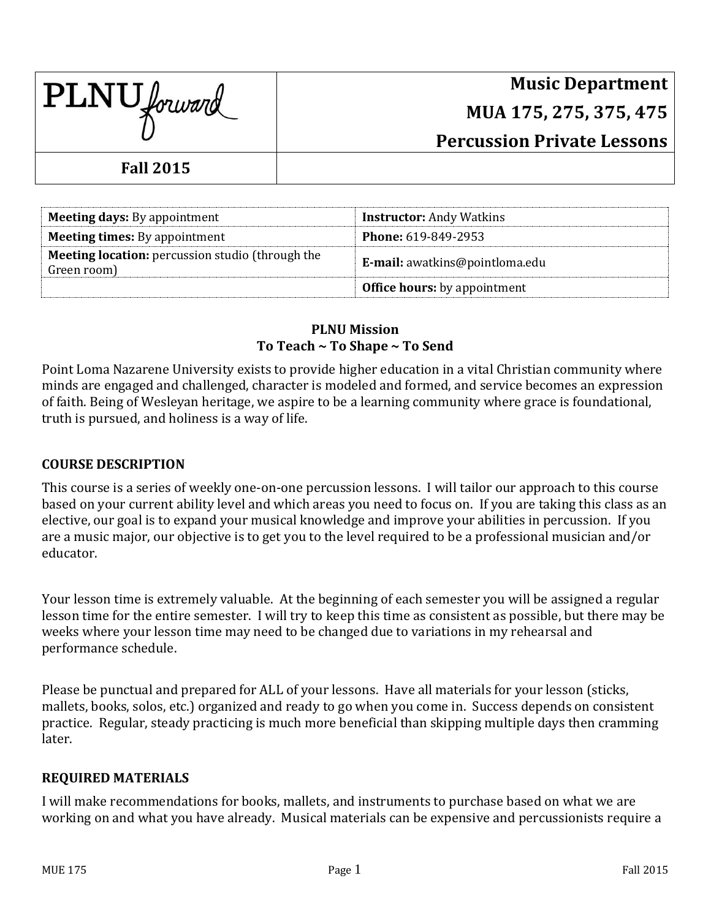| <b>PLNU</b> forward |
|---------------------|
|                     |

# **Music Department MUA 175, 275, 375, 475 Percussion Private Lessons**

# **Fall 2015**

| <b>Meeting days:</b> By appointment                                    | <b>Instructor:</b> Andy Watkins       |
|------------------------------------------------------------------------|---------------------------------------|
| <b>Meeting times:</b> By appointment                                   | <b>Phone: 619-849-2953</b>            |
| <b>Meeting location:</b> percussion studio (through the<br>Green room) | <b>E-mail:</b> awatkins@pointloma.edu |
|                                                                        | <b>Office hours:</b> by appointment   |

#### **PLNU Mission To Teach ~ To Shape ~ To Send**

Point Loma Nazarene University exists to provide higher education in a vital Christian community where minds are engaged and challenged, character is modeled and formed, and service becomes an expression of faith. Being of Wesleyan heritage, we aspire to be a learning community where grace is foundational, truth is pursued, and holiness is a way of life.

### **COURSE DESCRIPTION**

This course is a series of weekly one-on-one percussion lessons. I will tailor our approach to this course based on your current ability level and which areas you need to focus on. If you are taking this class as an elective, our goal is to expand your musical knowledge and improve your abilities in percussion. If you are a music major, our objective is to get you to the level required to be a professional musician and/or educator.

Your lesson time is extremely valuable. At the beginning of each semester you will be assigned a regular lesson time for the entire semester. I will try to keep this time as consistent as possible, but there may be weeks where your lesson time may need to be changed due to variations in my rehearsal and performance schedule.

Please be punctual and prepared for ALL of your lessons. Have all materials for your lesson (sticks, mallets, books, solos, etc.) organized and ready to go when you come in. Success depends on consistent practice. Regular, steady practicing is much more beneficial than skipping multiple days then cramming later.

#### **REQUIRED MATERIALS**

I will make recommendations for books, mallets, and instruments to purchase based on what we are working on and what you have already. Musical materials can be expensive and percussionists require a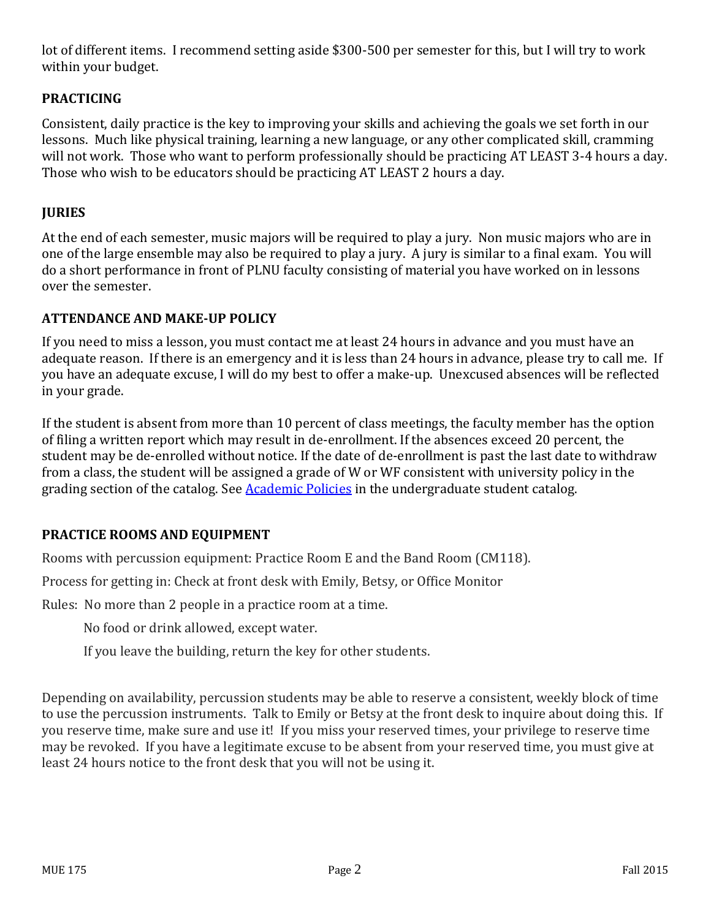lot of different items. I recommend setting aside \$300-500 per semester for this, but I will try to work within your budget.

# **PRACTICING**

Consistent, daily practice is the key to improving your skills and achieving the goals we set forth in our lessons. Much like physical training, learning a new language, or any other complicated skill, cramming will not work. Those who want to perform professionally should be practicing AT LEAST 3-4 hours a day. Those who wish to be educators should be practicing AT LEAST 2 hours a day.

## **JURIES**

At the end of each semester, music majors will be required to play a jury. Non music majors who are in one of the large ensemble may also be required to play a jury. A jury is similar to a final exam. You will do a short performance in front of PLNU faculty consisting of material you have worked on in lessons over the semester.

#### **ATTENDANCE AND MAKE-UP POLICY**

If you need to miss a lesson, you must contact me at least 24 hours in advance and you must have an adequate reason. If there is an emergency and it is less than 24 hours in advance, please try to call me. If you have an adequate excuse, I will do my best to offer a make-up. Unexcused absences will be reflected in your grade.

If the student is absent from more than 10 percent of class meetings, the faculty member has the option of filing a written report which may result in de-enrollment. If the absences exceed 20 percent, the student may be de-enrolled without notice. If the date of de-enrollment is past the last date to withdraw from a class, the student will be assigned a grade of W or WF consistent with university policy in the grading section of the catalog. See [Academic Policies](http://www.pointloma.edu/experience/academics/catalogs/undergraduate-catalog/point-loma-education/academic-policies) in the undergraduate student catalog.

## **PRACTICE ROOMS AND EQUIPMENT**

Rooms with percussion equipment: Practice Room E and the Band Room (CM118).

Process for getting in: Check at front desk with Emily, Betsy, or Office Monitor

Rules: No more than 2 people in a practice room at a time.

No food or drink allowed, except water.

If you leave the building, return the key for other students.

Depending on availability, percussion students may be able to reserve a consistent, weekly block of time to use the percussion instruments. Talk to Emily or Betsy at the front desk to inquire about doing this. If you reserve time, make sure and use it! If you miss your reserved times, your privilege to reserve time may be revoked. If you have a legitimate excuse to be absent from your reserved time, you must give at least 24 hours notice to the front desk that you will not be using it.